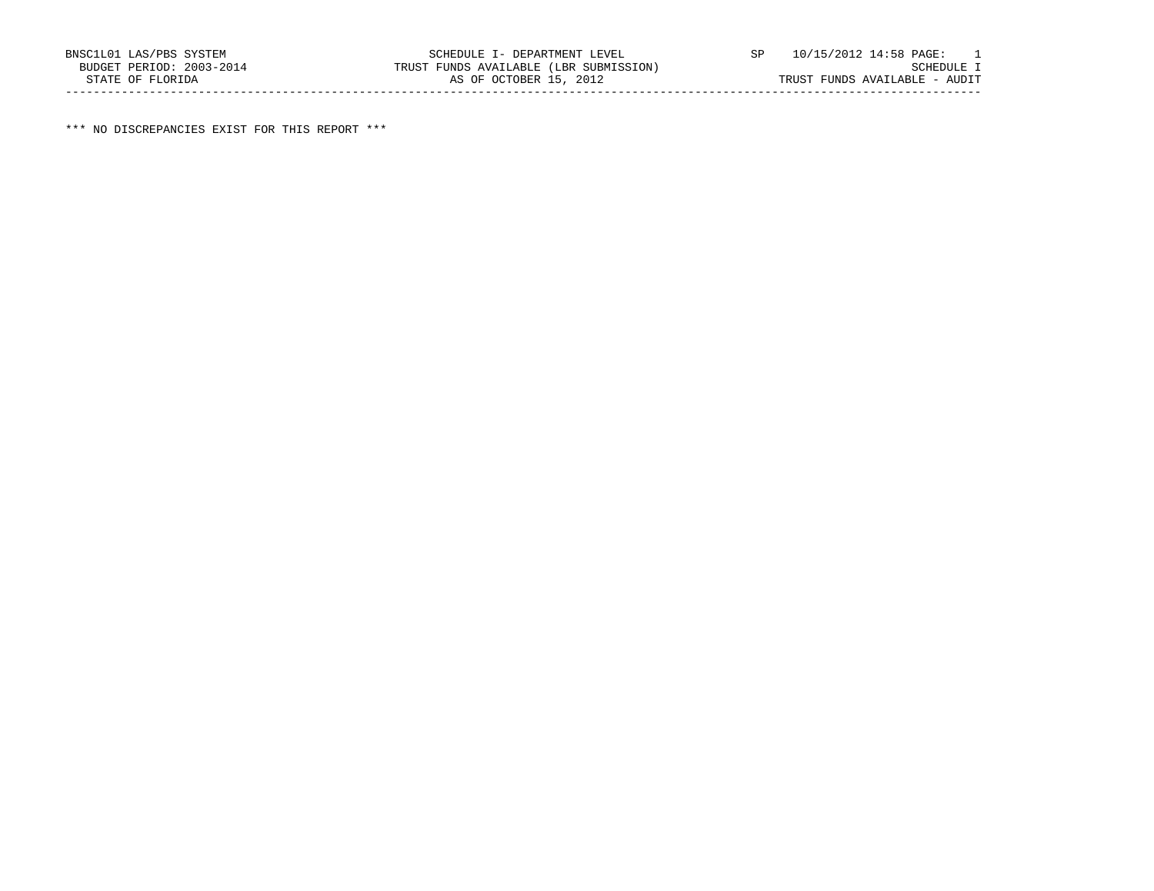\*\*\* NO DISCREPANCIES EXIST FOR THIS REPORT \*\*\*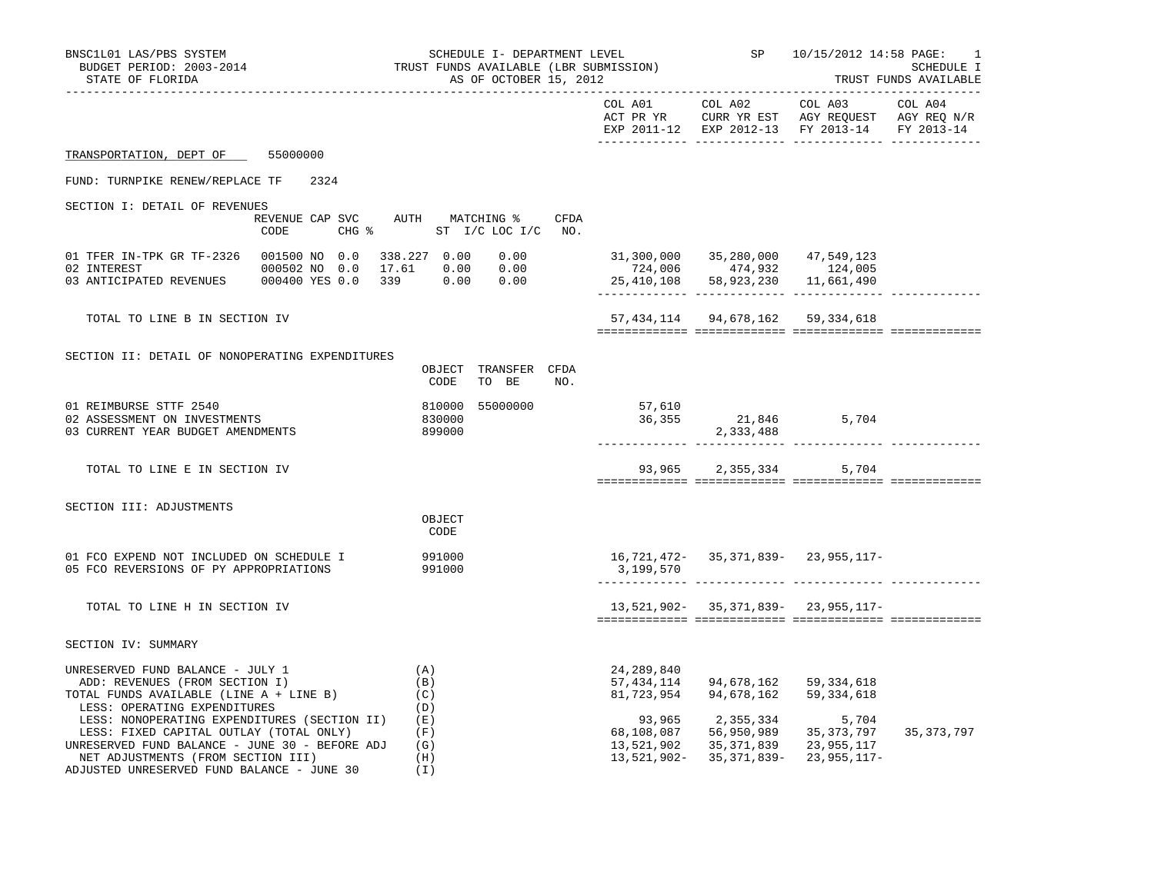| BNSC1L01 LAS/PBS SYSTEM<br>BUDGET PERIOD: 2003-2014<br>STATE OF FLORIDA                                                                                                                                                                                                 | SCHEDULE I- DEPARTMENT LEVEL<br>TRUST FUNDS AVAILABLE (LBR SUBMISSION)<br>AS OF OCTOBER 15, 2012 |                                                                                                                                                         |                                        | SP 10/15/2012 14:58 PAGE:<br>-1<br>SCHEDULE I<br>TRUST FUNDS AVAILABLE                                            |              |
|-------------------------------------------------------------------------------------------------------------------------------------------------------------------------------------------------------------------------------------------------------------------------|--------------------------------------------------------------------------------------------------|---------------------------------------------------------------------------------------------------------------------------------------------------------|----------------------------------------|-------------------------------------------------------------------------------------------------------------------|--------------|
|                                                                                                                                                                                                                                                                         |                                                                                                  |                                                                                                                                                         | COL A01 COL A02                        | COL A03 COL A04<br>ACT PR YR CURR YR EST AGY REQUEST AGY REQ N/R<br>EXP 2011-12 EXP 2012-13 FY 2013-14 FY 2013-14 |              |
| TRANSPORTATION, DEPT OF 55000000                                                                                                                                                                                                                                        |                                                                                                  |                                                                                                                                                         |                                        |                                                                                                                   |              |
| FUND: TURNPIKE RENEW/REPLACE TF 2324                                                                                                                                                                                                                                    |                                                                                                  |                                                                                                                                                         |                                        |                                                                                                                   |              |
| SECTION I: DETAIL OF REVENUES                                                                                                                                                                                                                                           | REVENUE CAP SVC AUTH MATCHING % CFDA<br>CODE CHG % ST I/C LOC I/C NO.                            |                                                                                                                                                         |                                        |                                                                                                                   |              |
| 01 TFER IN-TPK GR TF-2326    001500 NO    0.0    338.227    0.00<br>02 INTEREST 6000502 NO 0.0 17.61 0.00 0.00                                                                                                                                                          |                                                                                                  | $\begin{array}{cccc} 0.00 & 31,300,000 & 35,280,000 & 47,549,123 \\ 0.00 & 724,006 & 474,932 & 124,005 \end{array}$<br>25,410,108 58,923,230 11,661,490 |                                        |                                                                                                                   |              |
| TOTAL TO LINE B IN SECTION IV                                                                                                                                                                                                                                           |                                                                                                  |                                                                                                                                                         | 57, 434, 114 94, 678, 162 59, 334, 618 |                                                                                                                   |              |
| SECTION II: DETAIL OF NONOPERATING EXPENDITURES                                                                                                                                                                                                                         | OBJECT TRANSFER CFDA<br>CODE<br>TO BE<br>NO.                                                     |                                                                                                                                                         |                                        |                                                                                                                   |              |
| 01 REIMBURSE STTF 2540<br>02 ASSESSMENT ON INVESTMENTS<br>03 CURRENT YEAR BUDGET AMENDMENTS                                                                                                                                                                             | 810000 55000000<br>830000<br>899000                                                              | 57,610<br>36,355                                                                                                                                        | $36,355$ 21,846 5,704<br>2,333,488     |                                                                                                                   |              |
| TOTAL TO LINE E IN SECTION IV                                                                                                                                                                                                                                           |                                                                                                  |                                                                                                                                                         | 93,965 2,355,334                       | 5,704                                                                                                             |              |
| SECTION III: ADJUSTMENTS                                                                                                                                                                                                                                                | OBJECT<br>CODE                                                                                   |                                                                                                                                                         |                                        |                                                                                                                   |              |
| 01 FCO EXPEND NOT INCLUDED ON SCHEDULE I<br>05 FCO REVERSIONS OF PY APPROPRIATIONS                                                                                                                                                                                      | 991000<br>991000                                                                                 | 3,199,570                                                                                                                                               |                                        | 16,721,472- 35,371,839- 23,955,117-                                                                               |              |
| TOTAL TO LINE H IN SECTION IV                                                                                                                                                                                                                                           |                                                                                                  |                                                                                                                                                         |                                        | 13,521,902- 35,371,839- 23,955,117-                                                                               |              |
| SECTION IV: SUMMARY                                                                                                                                                                                                                                                     |                                                                                                  |                                                                                                                                                         |                                        |                                                                                                                   |              |
| UNRESERVED FUND BALANCE - JULY 1<br>ADD: REVENUES (FROM SECTION I)<br>OTAL FUNDS AVAIL: -<br>TOTAL FUNDS AVAILABLE (LINE A + LINE B)                                                                                                                                    | (A)<br>(B)<br>(C)                                                                                | 24,289,840<br>57,434,114<br>81,723,954                                                                                                                  | 94,678,162 59,334,618                  | 94,678,162 59,334,618                                                                                             |              |
| LESS: OPERATING EXPENDITURES<br>LESS: NONOPERATING EXPENDITURES (SECTION II) (E)<br>LESS: FIXED CAPITAL OUTLAY (TOTAL ONLY)<br>UNRESERVED FUND BALANCE - JUNE 30 - BEFORE ADJ $(G)$<br>NET ADJUSTMENTS (FROM SECTION III)<br>ADJUSTED UNRESERVED FUND BALANCE - JUNE 30 | (D)<br>(F)<br>(H)<br>(I)                                                                         | 93,965<br>68,108,087<br>13,521,902                                                                                                                      | 2,355,334                              | 5,704<br>56,950,989 35,373,797<br>35, 371, 839 23, 955, 117<br>13,521,902- 35,371,839- 23,955,117-                | 35, 373, 797 |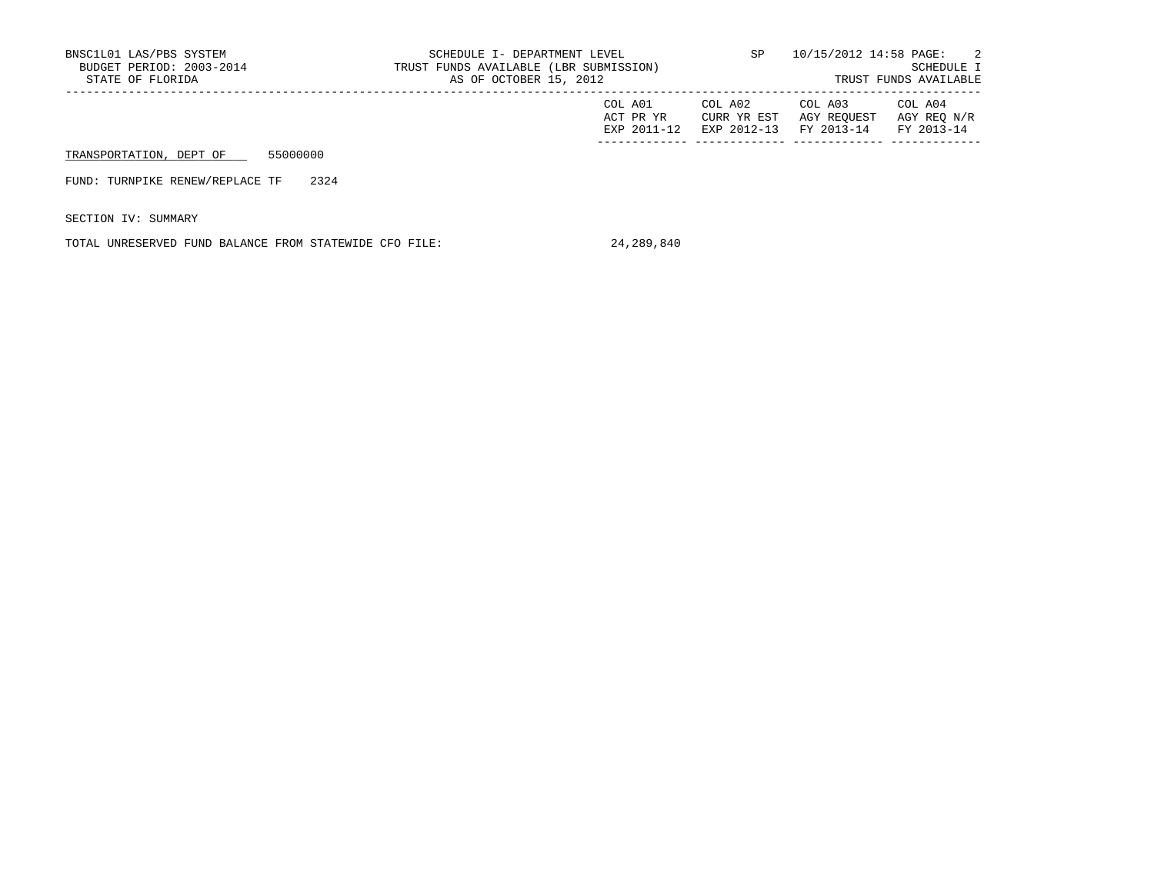| BNSC1L01 LAS/PBS SYSTEM<br>BUDGET PERIOD: 2003-2014<br>STATE OF FLORIDA |          | SCHEDULE I- DEPARTMENT LEVEL<br>TRUST FUNDS AVAILABLE (LBR SUBMISSION)<br>AS OF OCTOBER 15, 2012 | SP                                  | 10/15/2012 14:58 PAGE:<br>SCHEDULE I<br>TRUST FUNDS AVAILABLE |                                      |                                      |
|-------------------------------------------------------------------------|----------|--------------------------------------------------------------------------------------------------|-------------------------------------|---------------------------------------------------------------|--------------------------------------|--------------------------------------|
|                                                                         |          |                                                                                                  | COL A01<br>ACT PR YR<br>EXP 2011-12 | COL A02<br>CURR YR EST<br>EXP 2012-13                         | COL A03<br>AGY REOUEST<br>FY 2013-14 | COL A04<br>AGY REO N/R<br>FY 2013-14 |
| TRANSPORTATION, DEPT OF                                                 | 55000000 |                                                                                                  |                                     |                                                               |                                      |                                      |
| FUND: TURNPIKE RENEW/REPLACE TF                                         | 2324     |                                                                                                  |                                     |                                                               |                                      |                                      |

SECTION IV: SUMMARY

TOTAL UNRESERVED FUND BALANCE FROM STATEWIDE CFO FILE: 24,289,840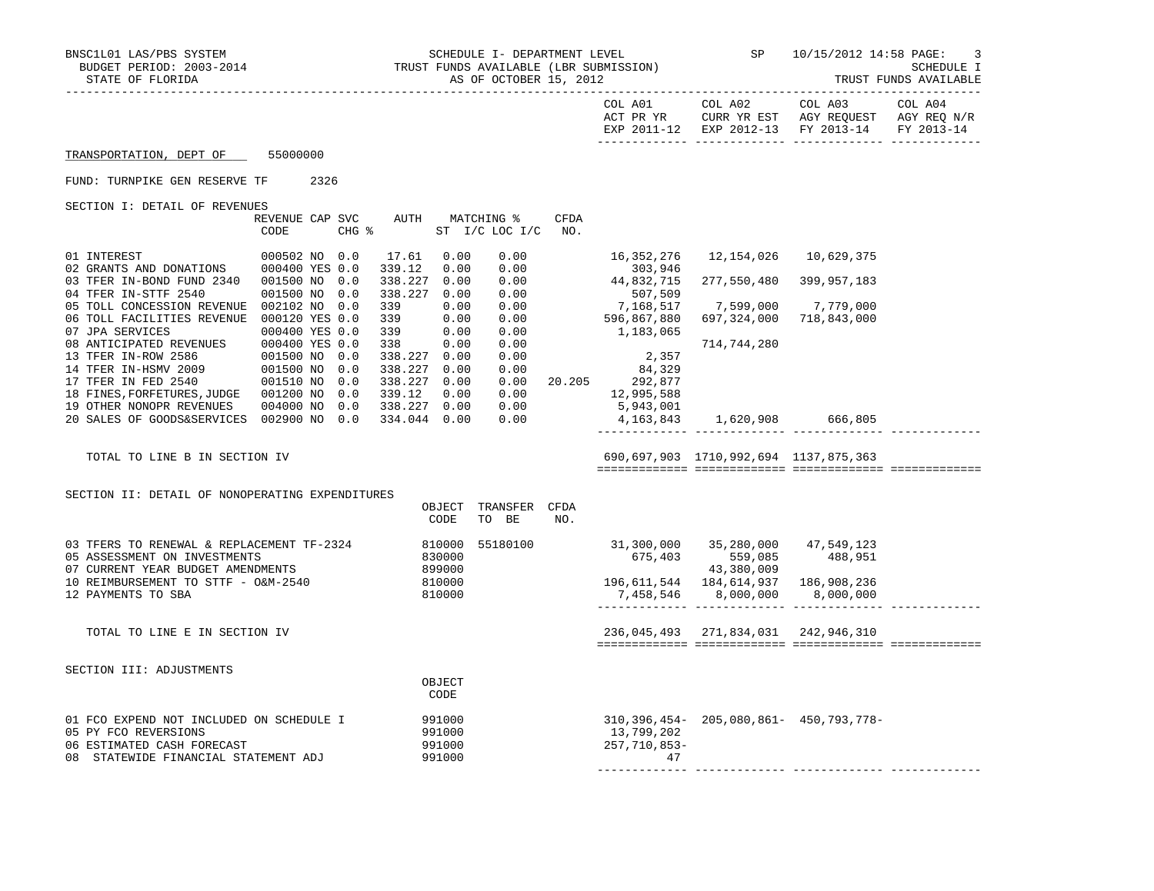| BNSC1L01 LAS/PBS SYSTEM<br>BUDGET PERIOD: 2003-2014<br>STATE OF FLORIDA                                                                                                                                                                |                         |      |  |              |                                  | AS OF OCTOBER 15, 2012                                |                  | TRUST FUNDS AVAILABLE (LBR SUBMISSION)                                                                                                                                                |                                             | SCHEDULE I- DEPARTMENT LEVEL $SP$ $10/15/2012$ $14:58$ PAGE:<br>3<br><b>SCHEDULE I</b><br>TRUST FUNDS AVAILABLE                                    |         |  |
|----------------------------------------------------------------------------------------------------------------------------------------------------------------------------------------------------------------------------------------|-------------------------|------|--|--------------|----------------------------------|-------------------------------------------------------|------------------|---------------------------------------------------------------------------------------------------------------------------------------------------------------------------------------|---------------------------------------------|----------------------------------------------------------------------------------------------------------------------------------------------------|---------|--|
|                                                                                                                                                                                                                                        |                         |      |  |              |                                  |                                                       |                  |                                                                                                                                                                                       |                                             | COL A01 COL A02 COL A03<br>ACT PR YR $\,$ CURR YR EST $\,$ AGY REQUEST $\,$ AGY REQ $\,$ N/R $\,$<br>EXP 2011-12 EXP 2012-13 FY 2013-14 FY 2013-14 | COL A04 |  |
| TRANSPORTATION, DEPT OF 55000000                                                                                                                                                                                                       |                         |      |  |              |                                  |                                                       |                  |                                                                                                                                                                                       |                                             |                                                                                                                                                    |         |  |
| FUND: TURNPIKE GEN RESERVE TF                                                                                                                                                                                                          |                         | 2326 |  |              |                                  |                                                       |                  |                                                                                                                                                                                       |                                             |                                                                                                                                                    |         |  |
| SECTION I: DETAIL OF REVENUES                                                                                                                                                                                                          |                         |      |  |              |                                  |                                                       |                  |                                                                                                                                                                                       |                                             |                                                                                                                                                    |         |  |
|                                                                                                                                                                                                                                        | REVENUE CAP SVC<br>CODE |      |  |              |                                  | AUTH MATCHING %<br>CHG % ST I/C LOC I/C NO.           | CFDA             |                                                                                                                                                                                       |                                             |                                                                                                                                                    |         |  |
| $\begin{tabular}{llllll} 01 & INTEREST & & 000502 & NO & 0.0 \\ 02 & GRANTS & AND & DOMATIONS & 000400 & YES & 0.0 \\ \end{tabular}$                                                                                                   |                         |      |  | 17.61 0.00   | 339.12 0.00                      |                                                       |                  | 303,946                                                                                                                                                                               |                                             |                                                                                                                                                    |         |  |
| 03 TFER IN-BOND FUND 2340 001500 NO 0.0<br>04 TFER IN-STTF 2540 001500 NO 0.0                                                                                                                                                          |                         |      |  |              | 338.227 0.00<br>338.227 0.00     | $\begin{array}{c} 0.00\ 0.00\ 0.00\ 0.00 \end{array}$ |                  | 44,832,715                                                                                                                                                                            |                                             | 277,550,480 399,957,183                                                                                                                            |         |  |
| 05 TOLL CONCESSION REVENUE 002102 NO 0.0<br>06 TOLL FACILITIES REVENUE 000120 YES 0.0                                                                                                                                                  |                         |      |  |              | 339 0.00<br>339 0.00<br>339 0.00 |                                                       |                  | $0.00$<br>$0.00$<br>$0.00$<br>$0.00$<br>$0.00$<br>$0.596, 867, 880$<br>$0.183, 065$<br>1,183,065                                                                                      | 7,599,000 7,779,000                         | 697,324,000 718,843,000                                                                                                                            |         |  |
| 07 JPA SERVICES 6000400 YES 0.0 339 0.00<br>08 ANTICIPATED REVENUES 000400 YES 0.0 339 0.00<br>08 ANTICIPATED REVENUES 000400 YES 0.0 338 0.00<br>13 TFER IN-ROW 2586 001500 NO 0.0 338.227 0.00<br>14 TFER IN-RSMY 2009 001500 NO 0.0 |                         |      |  |              |                                  | 0.00<br>0.00                                          | $0.00$<br>$0.00$ | 2,357<br>$\begin{array}{ccc} 0\, . \, 00 & \quad & 84 \, , \, 329 \\ 0\, . \, 00 & \quad 20 \, . \, 205 & \quad & 292 \, , \, 877 \end{array}$<br>$0.00$<br>0.00<br>0.00<br>5,943,001 | 714,744,280                                 |                                                                                                                                                    |         |  |
| 19 OTHER NONOPR REVENUES   004000 NO   0.0   338.227   0.00<br>20 SALES OF GOODS&SERVICES 002900 NO 0.0                                                                                                                                |                         |      |  | 334.044 0.00 |                                  | 0.00                                                  |                  |                                                                                                                                                                                       | 4, 163, 843 1, 620, 908 666, 805            |                                                                                                                                                    |         |  |
| TOTAL TO LINE B IN SECTION IV                                                                                                                                                                                                          |                         |      |  |              |                                  |                                                       |                  |                                                                                                                                                                                       | 690,697,903 1710,992,694 1137,875,363       |                                                                                                                                                    |         |  |
| SECTION II: DETAIL OF NONOPERATING EXPENDITURES                                                                                                                                                                                        |                         |      |  |              | CODE                             | OBJECT TRANSFER CFDA<br>TO BE                         | NO.              |                                                                                                                                                                                       |                                             |                                                                                                                                                    |         |  |
| 03 TFERS TO RENEWAL & REPLACEMENT TF-2324 810000<br>05 ASSESSMENT ON INVESTMENTS 630000<br>07 CURRENT YEAR BUDGET AMENDMENTS                                                                                                           | NTS                     |      |  |              | 899000                           | 55180100                                              |                  | 31,300,000 35,280,000 47,549,123                                                                                                                                                      | $675,403$ $559,085$ $488,951$<br>43,380,009 |                                                                                                                                                    |         |  |
| 10 REIMBURSEMENT TO STTF - O&M-2540<br>12 PAYMENTS TO SBA                                                                                                                                                                              |                         |      |  |              | 810000<br>810000                 |                                                       |                  | 196, 611, 544 184, 614, 937 186, 908, 236                                                                                                                                             | 7,458,546 8,000,000                         | 8,000,000                                                                                                                                          |         |  |
| TOTAL TO LINE E IN SECTION IV                                                                                                                                                                                                          |                         |      |  |              |                                  |                                                       |                  | 236,045,493 271,834,031 242,946,310                                                                                                                                                   |                                             |                                                                                                                                                    |         |  |
| SECTION III: ADJUSTMENTS                                                                                                                                                                                                               |                         |      |  |              |                                  |                                                       |                  |                                                                                                                                                                                       |                                             |                                                                                                                                                    |         |  |
|                                                                                                                                                                                                                                        |                         |      |  |              | OBJECT<br>CODE                   |                                                       |                  |                                                                                                                                                                                       |                                             |                                                                                                                                                    |         |  |
| 01 FCO EXPEND NOT INCLUDED ON SCHEDULE I<br>05 PY FCO REVERSIONS<br>06 ESTIMATED CASH FORECAST<br>08 STATEWIDE FINANCIAL STATEMENT ADJ                                                                                                 |                         |      |  | 991000       | 991000<br>991000<br>991000       |                                                       |                  | 13,799,202<br>257,710,853-<br>47                                                                                                                                                      |                                             | 310, 396, 454 - 205, 080, 861 - 450, 793, 778 -                                                                                                    |         |  |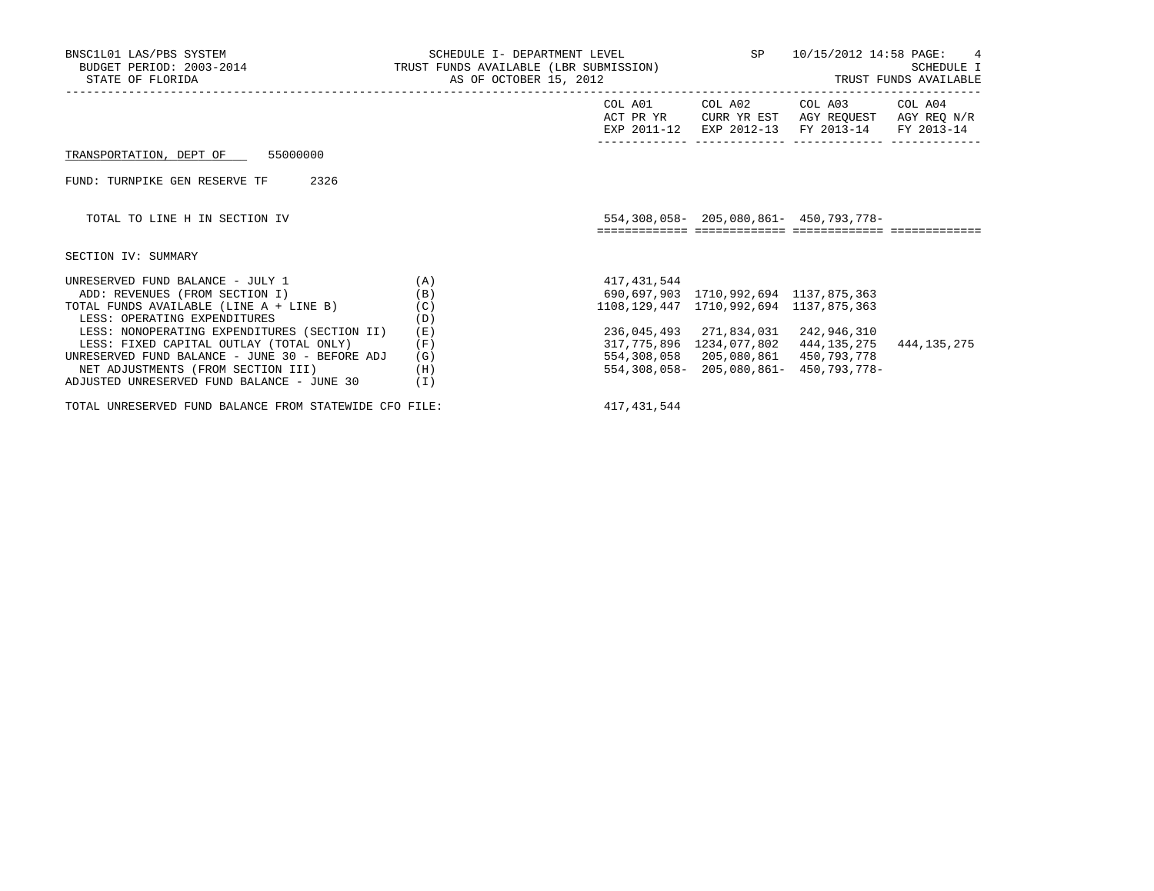| BNSC1L01 LAS/PBS SYSTEM                                                                                                                                                                                                                                                                                                                                                        | SCHEDULE I- DEPARTMENT LEVEL                                |                                                                                                      | SP 10/15/2012 14:58 PAGE: 4                                                |                                                                                                                                   |             |
|--------------------------------------------------------------------------------------------------------------------------------------------------------------------------------------------------------------------------------------------------------------------------------------------------------------------------------------------------------------------------------|-------------------------------------------------------------|------------------------------------------------------------------------------------------------------|----------------------------------------------------------------------------|-----------------------------------------------------------------------------------------------------------------------------------|-------------|
|                                                                                                                                                                                                                                                                                                                                                                                |                                                             |                                                                                                      |                                                                            | COL A01 COL A02 COL A03 COL A04<br>ACT PR YR CURR YR EST AGY REQUEST AGY REQ N/R<br>EXP 2011-12 EXP 2012-13 FY 2013-14 FY 2013-14 |             |
| TRANSPORTATION, DEPT OF 55000000                                                                                                                                                                                                                                                                                                                                               |                                                             |                                                                                                      |                                                                            |                                                                                                                                   |             |
| 2326<br>FUND: TURNPIKE GEN RESERVE TF                                                                                                                                                                                                                                                                                                                                          |                                                             |                                                                                                      |                                                                            |                                                                                                                                   |             |
| TOTAL TO LINE H IN SECTION IV                                                                                                                                                                                                                                                                                                                                                  |                                                             |                                                                                                      |                                                                            | 554, 308, 058 - 205, 080, 861 - 450, 793, 778 -                                                                                   |             |
| SECTION IV: SUMMARY                                                                                                                                                                                                                                                                                                                                                            |                                                             |                                                                                                      |                                                                            |                                                                                                                                   |             |
| UNRESERVED FUND BALANCE - JULY 1<br>ADD: REVENUES (FROM SECTION I)<br>TOTAL FUNDS AVAILABLE (LINE A + LINE B)<br>LESS: OPERATING EXPENDITURES<br>LESS: NONOPERATING EXPENDITURES (SECTION II)<br>LESS: FIXED CAPITAL OUTLAY (TOTAL ONLY)<br>UNRESERVED FUND BALANCE - JUNE 30 - BEFORE ADJ<br>NET ADJUSTMENTS (FROM SECTION III)<br>ADJUSTED UNRESERVED FUND BALANCE - JUNE 30 | (A)<br>(B)<br>(C)<br>(D)<br>(E)<br>(F)<br>(G)<br>(H)<br>(I) | 417,431,544<br>690,697,903 1710,992,694 1137,875,363<br>1108, 129, 447 1710, 992, 694 1137, 875, 363 | 236,045,493 271,834,031 242,946,310<br>554,308,058 205,080,861 450,793,778 | 317, 775, 896 1234, 077, 802 444, 135, 275<br>554, 308, 058 - 205, 080, 861 - 450, 793, 778 -                                     | 444,135,275 |
| TOTAL UNRESERVED FUND BALANCE FROM STATEWIDE CFO FILE:                                                                                                                                                                                                                                                                                                                         |                                                             | 417, 431, 544                                                                                        |                                                                            |                                                                                                                                   |             |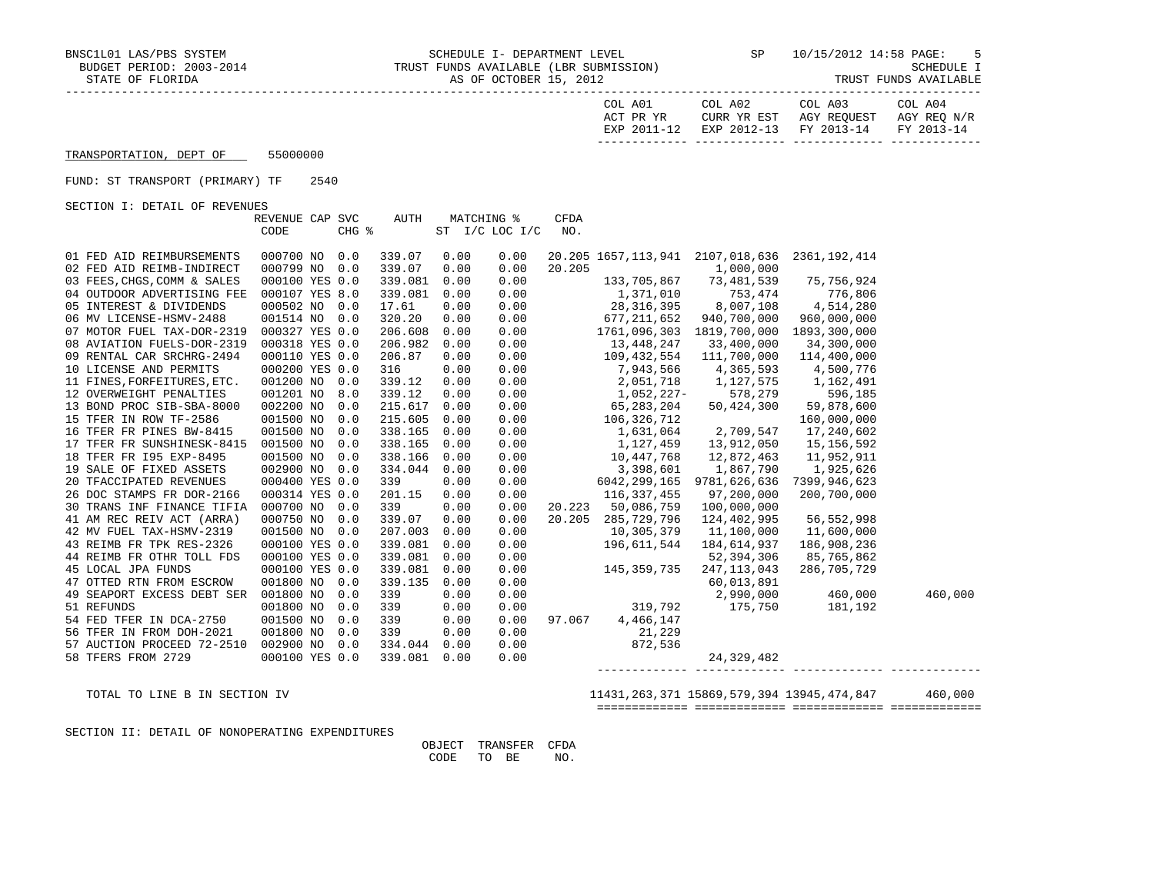| COL A01<br>ACT PR YR | COL A02 | COL A03<br>CURR YR EST AGY REOUEST AGY REO N/R | COL A04 |
|----------------------|---------|------------------------------------------------|---------|
|                      |         | EXP 2011-12 EXP 2012-13 FY 2013-14 FY 2013-14  |         |
|                      |         |                                                |         |

## TRANSPORTATION, DEPT OF 55000000

## FUND: ST TRANSPORT (PRIMARY) TF 2540

SECTION I: DETAIL OF REVENUES

|                             | REVENUE CAP SVC |       | AUTH    | <b>MATCHING %</b> |                | <b>CFDA</b> |                    |                                                                                                                                   |                                                            |         |
|-----------------------------|-----------------|-------|---------|-------------------|----------------|-------------|--------------------|-----------------------------------------------------------------------------------------------------------------------------------|------------------------------------------------------------|---------|
|                             | CODE            | CHG % |         |                   | ST I/C LOC I/C | NO.         |                    |                                                                                                                                   |                                                            |         |
|                             |                 |       |         |                   |                |             |                    |                                                                                                                                   |                                                            |         |
| 01 FED AID REIMBURSEMENTS   | 000700 NO       | 0.0   | 339.07  | 0.00              | 0.00           |             |                    | 20.205 1657, 113, 941 2107, 018, 636 2361, 192, 414                                                                               |                                                            |         |
| 02 FED AID REIMB-INDIRECT   | 000799 NO 0.0   |       | 339.07  | 0.00              | 0.00           | 20.205      |                    | 1,000,000                                                                                                                         |                                                            |         |
| 03 FEES, CHGS, COMM & SALES | 000100 YES 0.0  |       | 339.081 | 0.00              | 0.00           |             |                    | 133, 705, 867 73, 481, 539                                                                                                        | 75,756,924                                                 |         |
| 04 OUTDOOR ADVERTISING FEE  | 000107 YES 8.0  |       | 339.081 | 0.00              | 0.00           |             |                    | 1,371,010 753,474 776,806<br>28,316,395 8,007,108 4,514,280                                                                       |                                                            |         |
| 05 INTEREST & DIVIDENDS     | 000502 NO 0.0   |       | 17.61   | 0.00              | 0.00           |             |                    |                                                                                                                                   |                                                            |         |
| 06 MV LICENSE-HSMV-2488     | 001514 NO 0.0   |       | 320.20  | 0.00              | 0.00           |             | 677, 211, 652      | 940,700,000                                                                                                                       | 960,000,000                                                |         |
| 07 MOTOR FUEL TAX-DOR-2319  | 000327 YES 0.0  |       | 206.608 | 0.00              | 0.00           |             |                    | 1761,096,303 1819,700,000 1893,300,000                                                                                            |                                                            |         |
| 08 AVIATION FUELS-DOR-2319  | 000318 YES 0.0  |       | 206.982 | 0.00              |                |             | $0.00$ 13,448,247  | 33,400,000                                                                                                                        | 34,300,000                                                 |         |
| 09 RENTAL CAR SRCHRG-2494   | 000110 YES 0.0  |       | 206.87  | 0.00              | 0.00           |             |                    | 109,432,554 111,700,000                                                                                                           | 114,400,000                                                |         |
| 10 LICENSE AND PERMITS      | 000200 YES 0.0  |       | 316     | 0.00              | 0.00           |             |                    | 7,943,566 4,365,593                                                                                                               | 4,500,776                                                  |         |
| 11 FINES, FORFEITURES, ETC. | 001200 NO 0.0   |       | 339.12  | 0.00              | 0.00           |             |                    |                                                                                                                                   |                                                            |         |
| 12 OVERWEIGHT PENALTIES     | 001201 NO       | 8.0   | 339.12  | 0.00              | 0.00           |             |                    | $2,051,718$<br>1, 127, 575<br>1, 162, 491<br>1, 052, 227-<br>578, 279<br>596, 185<br>65, 283, 204<br>50, 424, 300<br>59, 878, 600 |                                                            |         |
| 13 BOND PROC SIB-SBA-8000   | 002200 NO 0.0   |       | 215.617 | 0.00              | 0.00           |             |                    |                                                                                                                                   |                                                            |         |
| 15 TFER IN ROW TF-2586      | 001500 NO       | 0.0   | 215.605 | 0.00              | 0.00           |             |                    | $106,326,712$<br>160,000,000<br>1,631,064<br>2,709,547<br>17,240,602                                                              |                                                            |         |
| 16 TFER FR PINES BW-8415    | 001500 NO       | 0.0   | 338.165 | 0.00              | 0.00           |             |                    |                                                                                                                                   |                                                            |         |
| 17 TFER FR SUNSHINESK-8415  | 001500 NO 0.0   |       | 338.165 | 0.00              | 0.00           |             |                    | 1, 127, 459   13, 912, 050                                                                                                        | 15,156,592                                                 |         |
| 18 TFER FR 195 EXP-8495     | 001500 NO       | 0.0   | 338.166 | 0.00              | 0.00           |             | 10,447,768         | 12,872,463                                                                                                                        | 11,952,911                                                 |         |
| 19 SALE OF FIXED ASSETS     | 002900 NO 0.0   |       | 334.044 | 0.00              | 0.00           |             | 3,398,601          | 1,867,790                                                                                                                         | 1,925,626                                                  |         |
| 20 TFACCIPATED REVENUES     | 000400 YES 0.0  |       | 339     | 0.00              | 0.00           |             |                    | 6042,299,165 9781,626,636                                                                                                         | 7399,946,623                                               |         |
| 26 DOC STAMPS FR DOR-2166   | 000314 YES 0.0  |       | 201.15  | 0.00              | 0.00           |             | 116,337,455        | 97,200,000                                                                                                                        | 200,700,000                                                |         |
| 30 TRANS INF FINANCE TIFIA  | 000700 NO 0.0   |       | 339     | 0.00              | 0.00           |             | 20.223 50,086,759  | 100,000,000                                                                                                                       |                                                            |         |
| 41 AM REC REIV ACT (ARRA)   | 000750 NO       | 0.0   | 339.07  | 0.00              | 0.00           |             | 20.205 285,729,796 | 124,402,995                                                                                                                       | 56,552,998                                                 |         |
| 42 MV FUEL TAX-HSMV-2319    | 001500 NO       | 0.0   | 207.003 | 0.00              | 0.00           |             | 10,305,379         | 11,100,000                                                                                                                        | 11,600,000                                                 |         |
| 43 REIMB FR TPK RES-2326    | 000100 YES 0.0  |       | 339.081 | 0.00              | 0.00           |             | $145.350 -$        | 184,614,937                                                                                                                       | 186,908,236                                                |         |
| 44 REIMB FR OTHR TOLL FDS   | 000100 YES 0.0  |       | 339.081 | 0.00              | 0.00           |             |                    | 52,394,306                                                                                                                        | 85,765,862                                                 |         |
| 45 LOCAL JPA FUNDS          | 000100 YES 0.0  |       | 339.081 | 0.00              | 0.00           |             |                    | 247,113,043                                                                                                                       | 286,705,729                                                |         |
| 47 OTTED RTN FROM ESCROW    | 001800 NO 0.0   |       | 339.135 | 0.00              | 0.00           |             |                    |                                                                                                                                   | $60,013,891$<br>2,990,000 $460,000$<br>3,990,000 $460,000$ |         |
| 49 SEAPORT EXCESS DEBT SER  | 001800 NO       | 0.0   | 339     | 0.00              | 0.00           |             |                    |                                                                                                                                   |                                                            | 460,000 |
| 51 REFUNDS                  | 001800 NO       | 0.0   | 339     | 0.00              | 0.00           |             |                    | 319,792 175,750                                                                                                                   | 181,192                                                    |         |
| 54 FED TFER IN DCA-2750     | 001500 NO       | 0.0   | 339     | 0.00              | 0.00           | 97.067      | 4,466,147          |                                                                                                                                   |                                                            |         |
| 56 TFER IN FROM DOH-2021    | 001800 NO       | 0.0   | 339     | 0.00              | 0.00           |             | 21,229             |                                                                                                                                   |                                                            |         |
| 57 AUCTION PROCEED 72-2510  | 002900 NO       | 0.0   | 334.044 | 0.00              | 0.00           |             | 872,536            |                                                                                                                                   |                                                            |         |
| 58 TFERS FROM 2729          | 000100 YES 0.0  |       | 339.081 | 0.00              | 0.00           |             |                    | 24, 329, 482                                                                                                                      |                                                            |         |
|                             |                 |       |         |                   |                |             | ______________     |                                                                                                                                   |                                                            |         |

TOTAL TO LINE B IN SECTION IV 11431,263,371 15869,579,394 13945,474,847 460,000

============= ============= ============= =============

SECTION II: DETAIL OF NONOPERATING EXPENDITURES

 OBJECT TRANSFER CFDA CODE TO BE NO.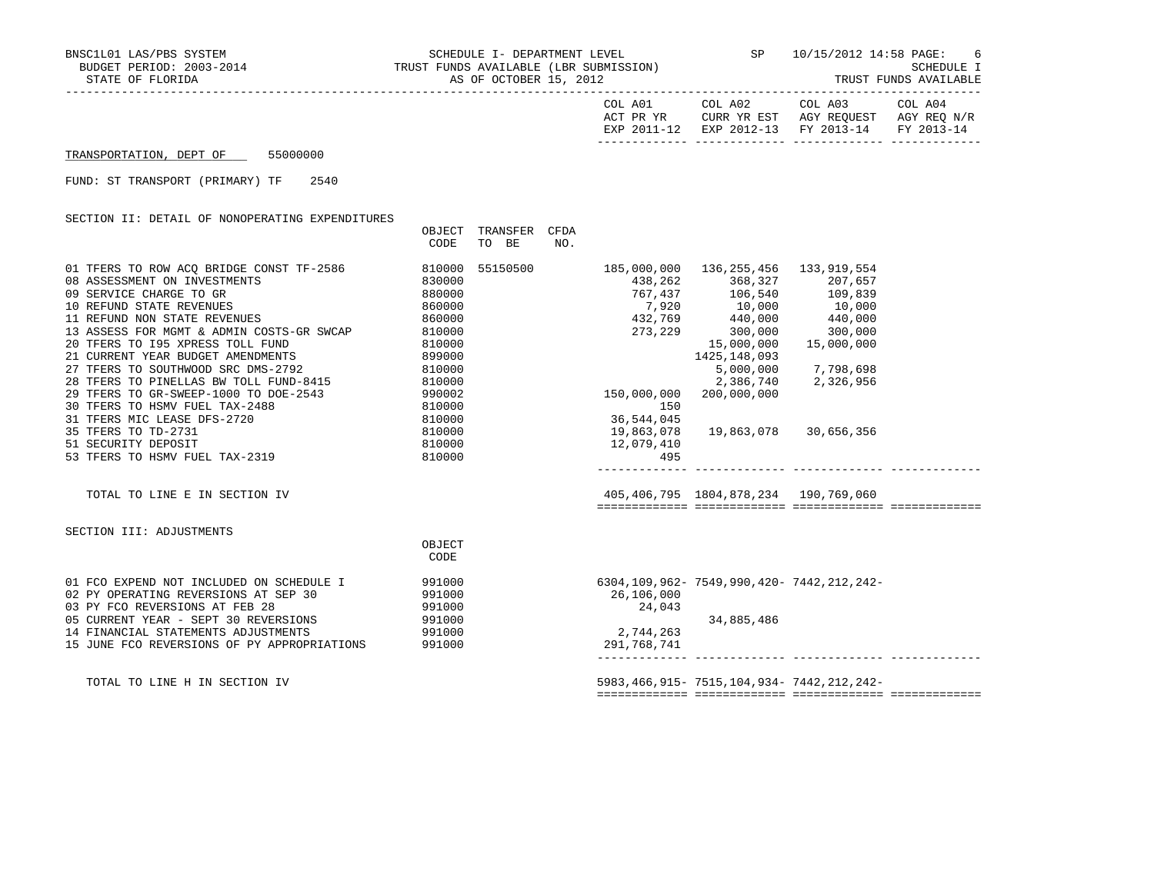STATE OF FLORIDA AS OF OCTOBER 15, 2012 TRUST FUNDS AVAILABLE

| COL A01     | COL A02     | COL A03     | COL A04     |
|-------------|-------------|-------------|-------------|
| ACT PR YR   | CURR YR EST | AGY REQUEST | AGY REQ N/R |
| EXP 2011-12 | EXP 2012-13 | FY 2013-14  | FY 2013-14  |
|             |             |             |             |

TRANSPORTATION, DEPT OF 55000000

FUND: ST TRANSPORT (PRIMARY) TF 2540

SECTION II: DETAIL OF NONOPERATING EXPENDITURES

|                                                 | OBJECT |          | TRANSFER | CFDA |             |                                                                                       |                     |
|-------------------------------------------------|--------|----------|----------|------|-------------|---------------------------------------------------------------------------------------|---------------------|
|                                                 | CODE   | TO BE    |          | NO.  |             |                                                                                       |                     |
|                                                 |        |          |          |      |             |                                                                                       |                     |
| 01 TFERS TO ROW ACQ BRIDGE CONST TF-2586        | 810000 | 55150500 |          |      | 185,000,000 | 136, 255, 456 133, 919, 554                                                           |                     |
| 08 ASSESSMENT ON INVESTMENTS                    | 830000 |          |          |      |             | 438,262 368,327 207,657<br>767,437 106,540 109,839                                    |                     |
| 09 SERVICE CHARGE TO GR                         | 880000 |          |          |      |             |                                                                                       |                     |
| 10 REFUND STATE REVENUES                        | 860000 |          |          |      |             |                                                                                       |                     |
| 11 REFUND NON STATE REVENUES                    | 860000 |          |          |      |             | $7,920$<br>$432,769$<br>$273,229$<br>$300,000$<br>$300,000$<br>$300,000$<br>$300,000$ |                     |
| 13 ASSESS FOR MGMT & ADMIN COSTS-GR SWCAP       | 810000 |          |          |      |             |                                                                                       |                     |
| 20 TFERS TO 195 XPRESS TOLL FUND                | 810000 |          |          |      |             | 15,000,000                                                                            | 15,000,000          |
| 21 CURRENT YEAR BUDGET AMENDMENTS               | 899000 |          |          |      |             | 1425,148,093                                                                          |                     |
| 27 TFERS TO SOUTHWOOD SRC DMS-2792              | 810000 |          |          |      |             |                                                                                       | 5,000,000 7,798,698 |
| 28 TFERS TO PINELLAS BW TOLL FUND-8415          | 810000 |          |          |      |             |                                                                                       | 2,386,740 2,326,956 |
| 29 TFERS TO GR-SWEEP-1000 TO DOE-2543<br>990002 |        |          |          |      | 150,000,000 | 200,000,000                                                                           |                     |
| 30 TFERS TO HSMV FUEL TAX-2488                  | 810000 |          |          |      | 150         |                                                                                       |                     |
| 31 TFERS MIC LEASE DFS-2720                     | 810000 |          |          |      | 36,544,045  |                                                                                       |                     |
| 35 TFERS TO TD-2731                             | 810000 |          |          |      | 19,863,078  | 19,863,078 30,656,356                                                                 |                     |
| 51 SECURITY DEPOSIT                             | 810000 |          |          |      | 12,079,410  |                                                                                       |                     |
| 53 TFERS TO HSMV FUEL TAX-2319                  | 810000 |          |          |      | 495         |                                                                                       |                     |
|                                                 |        |          |          |      |             |                                                                                       |                     |
| TOTAL TO LINE E IN SECTION IV                   |        |          |          |      |             | 405,406,795 1804,878,234 190,769,060                                                  |                     |
|                                                 |        |          |          |      |             |                                                                                       |                     |
|                                                 |        |          |          |      |             |                                                                                       |                     |
| SECTION III: ADJUSTMENTS                        |        |          |          |      |             |                                                                                       |                     |
|                                                 | OBJECT |          |          |      |             |                                                                                       |                     |
|                                                 | CODE   |          |          |      |             |                                                                                       |                     |
|                                                 |        |          |          |      |             |                                                                                       |                     |
| 01 FCO EXPEND NOT INCLUDED ON SCHEDULE I        | 991000 |          |          |      |             | 6304,109,962-7549,990,420-7442,212,242-                                               |                     |
| 02 PY OPERATING REVERSIONS AT SEP 30            | 991000 |          |          |      | 26,106,000  |                                                                                       |                     |
| 03 PY FCO REVERSIONS AT FEB 28                  | 991000 |          |          |      | 24,043      |                                                                                       |                     |
| 05 CURRENT YEAR - SEPT 30 REVERSIONS            | 991000 |          |          |      |             | 34,885,486                                                                            |                     |
| 14 FINANCIAL STATEMENTS ADJUSTMENTS             | 991000 |          |          |      | 2,744,263   |                                                                                       |                     |
| 15 JUNE FCO REVERSIONS OF PY APPROPRIATIONS     | 991000 |          |          |      | 291,768,741 |                                                                                       |                     |
|                                                 |        |          |          |      |             |                                                                                       |                     |
|                                                 |        |          |          |      |             |                                                                                       |                     |

TOTAL TO LINE H IN SECTION IV 5983,466,915- 7515,104,934- 7442,212,242-============= ============= ============= =============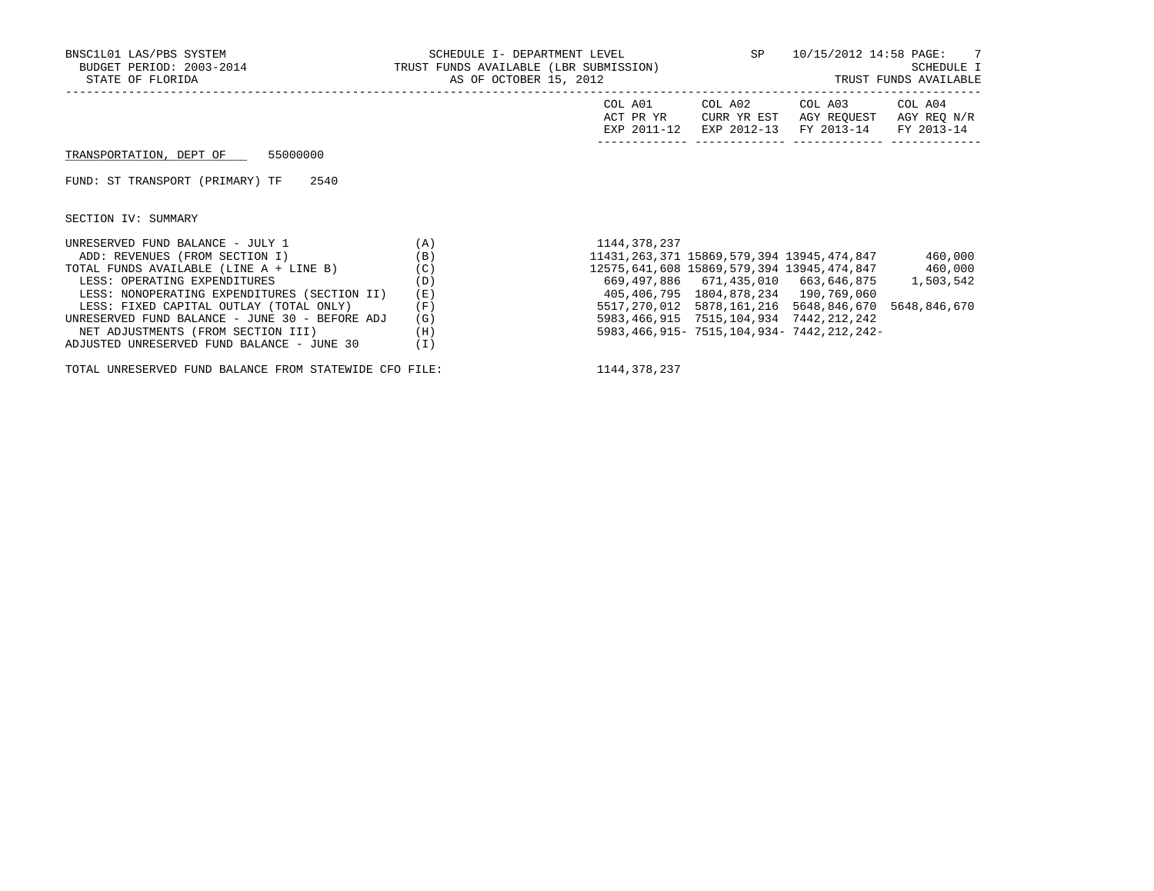| BNSC1L01 LAS/PBS SYSTEM<br>BUDGET PERIOD: 2003-2014<br>STATE OF FLORIDA | SCHEDULE I- DEPARTMENT LEVEL<br>TRUST FUNDS AVAILABLE (LBR SUBMISSION)<br>AS OF OCTOBER 15, 2012 |                                     | SP and the set of the set of the set of the set of the set of the set of the set of the set of the set of the set of the set of the set of the set of the set of the set of the set of the set of the set of the set of the se |                                                             | 10/15/2012 14:58 PAGE: 7<br>SCHEDULE I<br>TRUST FUNDS AVAILABLE |
|-------------------------------------------------------------------------|--------------------------------------------------------------------------------------------------|-------------------------------------|--------------------------------------------------------------------------------------------------------------------------------------------------------------------------------------------------------------------------------|-------------------------------------------------------------|-----------------------------------------------------------------|
|                                                                         |                                                                                                  | COL A01<br>ACT PR YR<br>EXP 2011-12 | COL A02<br>CURR YR EST                                                                                                                                                                                                         | COL A03<br>AGY REOUEST<br>EXP 2012-13 FY 2013-14 FY 2013-14 | COL A04<br>AGY REQ N/R                                          |
| TRANSPORTATION, DEPT OF 55000000                                        |                                                                                                  |                                     |                                                                                                                                                                                                                                |                                                             |                                                                 |
| FUND: ST TRANSPORT (PRIMARY) TF<br>2540                                 |                                                                                                  |                                     |                                                                                                                                                                                                                                |                                                             |                                                                 |
| SECTION IV: SUMMARY                                                     |                                                                                                  |                                     |                                                                                                                                                                                                                                |                                                             |                                                                 |
| UNRESERVED FUND BALANCE - JULY 1                                        | (A)                                                                                              | 1144,378,237                        |                                                                                                                                                                                                                                |                                                             |                                                                 |
| ADD: REVENUES (FROM SECTION I)                                          | (B)                                                                                              |                                     |                                                                                                                                                                                                                                | 11431,263,371 15869,579,394 13945,474,847                   | 460,000                                                         |
| TOTAL FUNDS AVAILABLE (LINE A + LINE B)                                 | (C)                                                                                              |                                     |                                                                                                                                                                                                                                | 12575,641,608 15869,579,394 13945,474,847 460,000           |                                                                 |
| LESS: OPERATING EXPENDITURES                                            | (D)                                                                                              |                                     |                                                                                                                                                                                                                                | 669,497,886 671,435,010 663,646,875 1,503,542               |                                                                 |
| LESS: NONOPERATING EXPENDITURES (SECTION II)                            | (E)                                                                                              |                                     | 405,406,795 1804,878,234 190,769,060                                                                                                                                                                                           |                                                             |                                                                 |
| LESS: FIXED CAPITAL OUTLAY (TOTAL ONLY)                                 | (F)                                                                                              |                                     |                                                                                                                                                                                                                                | 5517,270,012 5878,161,216 5648,846,670                      | 5648,846,670                                                    |
| UNRESERVED FUND BALANCE - JUNE 30 - BEFORE ADJ                          | (G)                                                                                              |                                     | 5983, 466, 915 7515, 104, 934 7442, 212, 242                                                                                                                                                                                   |                                                             |                                                                 |
| NET ADJUSTMENTS (FROM SECTION III)                                      | (H)                                                                                              |                                     |                                                                                                                                                                                                                                | 5983, 466, 915 - 7515, 104, 934 - 7442, 212, 242 -          |                                                                 |
| ADJUSTED UNRESERVED FUND BALANCE - JUNE 30                              | (I)                                                                                              |                                     |                                                                                                                                                                                                                                |                                                             |                                                                 |

TOTAL UNRESERVED FUND BALANCE FROM STATEWIDE CFO FILE: 1144,378,237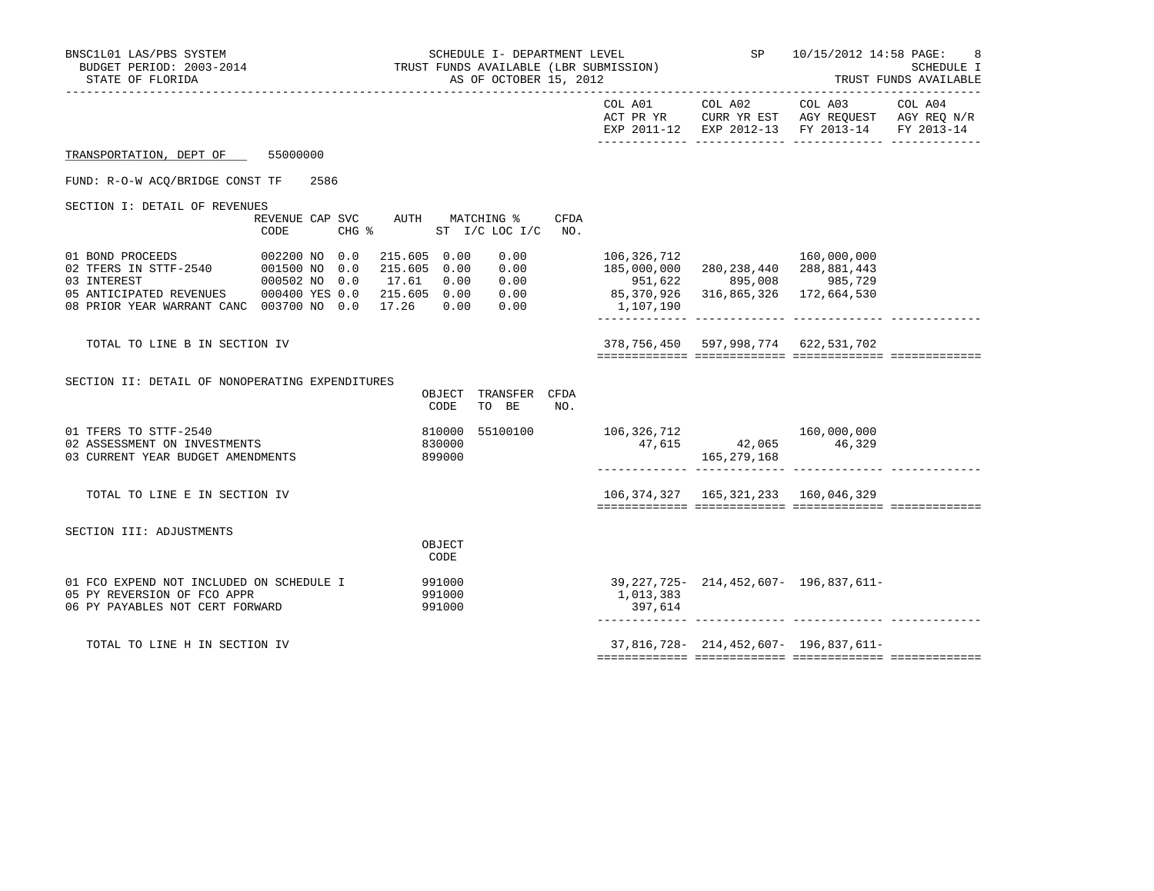| SCHEDULE I- DEPARTMENT LEVEL (ISON) SP 10/15/2012 14:58 PAGE:<br>BUDGET PERIOD: 2003-2014 TRUST FUNDS AVAILABLE (LBR SUBMISSION) SCHEDULE<br>BNSC1L01 LAS/PBS SYSTEM<br>STATE OF FLORIDA | AS OF OCTOBER 15, 2012                       |                                                                                                                                    |                                                                                                      | SCHEDULE I<br>TRUST FUNDS AVAILABLE                                                                                               |  |
|------------------------------------------------------------------------------------------------------------------------------------------------------------------------------------------|----------------------------------------------|------------------------------------------------------------------------------------------------------------------------------------|------------------------------------------------------------------------------------------------------|-----------------------------------------------------------------------------------------------------------------------------------|--|
|                                                                                                                                                                                          |                                              |                                                                                                                                    |                                                                                                      | COL A01 COL A02 COL A03 COL A04<br>ACT PR YR CURR YR EST AGY REQUEST AGY REQ N/R<br>EXP 2011-12 EXP 2012-13 FY 2013-14 FY 2013-14 |  |
| TRANSPORTATION, DEPT OF 55000000                                                                                                                                                         |                                              |                                                                                                                                    |                                                                                                      |                                                                                                                                   |  |
| FUND: R-O-W ACO/BRIDGE CONST TF<br>2586                                                                                                                                                  |                                              |                                                                                                                                    |                                                                                                      |                                                                                                                                   |  |
| SECTION I: DETAIL OF REVENUES<br>REVENUE CAP SVC AUTH MATCHING %<br>$CHG$ $\approx$<br>CODE                                                                                              | CFDA<br>ST I/C LOC I/C NO.                   |                                                                                                                                    |                                                                                                      |                                                                                                                                   |  |
| 05 ANTICIPATED REVENUES 000400 YES 0.0 215.605 0.00 0.00<br>08 PRIOR YEAR WARRANT CANC 003700 NO 0.0 17.26 0.00 0.00                                                                     | 0.00                                         | 106,326,712<br>0.00 185,000,000 280,238,440 200,000,111<br>0.00 951,622 895,008 985,729<br>0.00 85,370,926 316,865,326 172,664,530 |                                                                                                      | 160,000,000                                                                                                                       |  |
| TOTAL TO LINE B IN SECTION IV                                                                                                                                                            |                                              |                                                                                                                                    | 378,756,450 597,998,774 622,531,702                                                                  |                                                                                                                                   |  |
| SECTION II: DETAIL OF NONOPERATING EXPENDITURES                                                                                                                                          | OBJECT TRANSFER CFDA<br>CODE<br>TO BE<br>NO. |                                                                                                                                    |                                                                                                      |                                                                                                                                   |  |
| 01 TFERS TO STTF-2540<br>02 ASSESSMENT ON INVESTMENTS<br>03 CURRENT YEAR BUDGET AMENDMENTS                                                                                               | 810000<br>55100100<br>830000<br>899000       |                                                                                                                                    | $\begin{array}{cc} 106,326,712 & 160,000,000 \\ 47,615 & 42,065 & 46,329 \end{array}$<br>165,279,168 |                                                                                                                                   |  |
| TOTAL TO LINE E IN SECTION IV                                                                                                                                                            |                                              |                                                                                                                                    | 106, 374, 327   165, 321, 233   160, 046, 329                                                        |                                                                                                                                   |  |
| SECTION III: ADJUSTMENTS                                                                                                                                                                 | OBJECT<br>CODE                               |                                                                                                                                    |                                                                                                      |                                                                                                                                   |  |
| 01 FCO EXPEND NOT INCLUDED ON SCHEDULE I<br>05 PY REVERSION OF FCO APPR<br>06 PY PAYABLES NOT CERT FORWARD                                                                               | 991000<br>991000<br>991000                   | 1,013,383<br>397,614                                                                                                               |                                                                                                      | 39, 227, 725 - 214, 452, 607 - 196, 837, 611 -                                                                                    |  |
| TOTAL TO LINE H IN SECTION IV                                                                                                                                                            |                                              |                                                                                                                                    |                                                                                                      | 37,816,728-214,452,607-196,837,611-                                                                                               |  |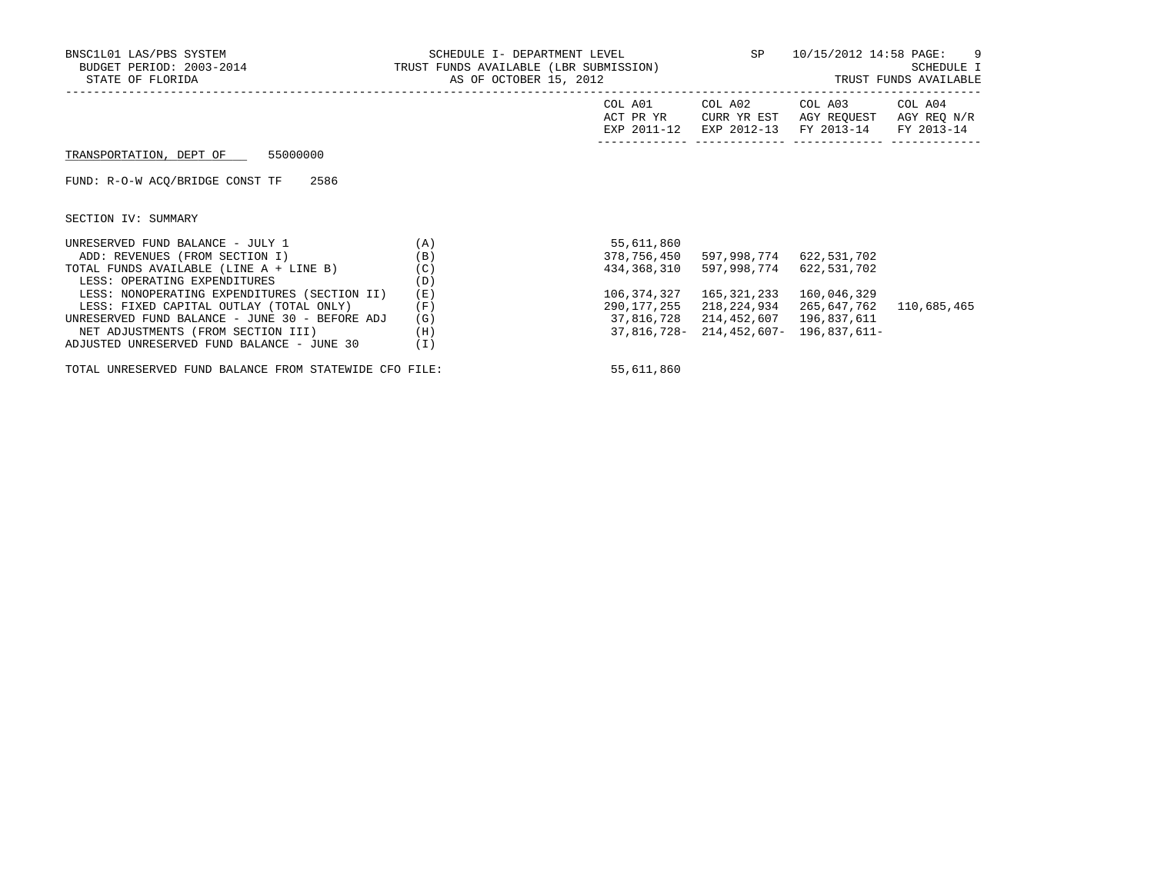| BNSC1L01 LAS/PBS SYSTEM<br>BUDGET PERIOD: 2003-2014<br>STATE OF FLORIDA | SCHEDULE I- DEPARTMENT LEVEL<br>TRUST FUNDS AVAILABLE (LBR SUBMISSION)<br>AS OF OCTOBER 15, 2012 |                                     | SP                                    | 10/15/2012 14:58 PAGE: 9<br>SCHEDULE I<br>TRUST FUNDS AVAILABLE |                                      |  |
|-------------------------------------------------------------------------|--------------------------------------------------------------------------------------------------|-------------------------------------|---------------------------------------|-----------------------------------------------------------------|--------------------------------------|--|
|                                                                         |                                                                                                  | COL A01<br>ACT PR YR<br>EXP 2011-12 | COL A02<br>CURR YR EST<br>EXP 2012-13 | COL A03<br>AGY REOUEST<br>FY 2013-14                            | COL A04<br>AGY REQ N/R<br>FY 2013-14 |  |
| TRANSPORTATION, DEPT OF 55000000                                        |                                                                                                  |                                     |                                       |                                                                 |                                      |  |
| FUND: R-O-W ACO/BRIDGE CONST TF 2586                                    |                                                                                                  |                                     |                                       |                                                                 |                                      |  |
| SECTION IV: SUMMARY                                                     |                                                                                                  |                                     |                                       |                                                                 |                                      |  |
| UNRESERVED FUND BALANCE - JULY 1                                        | (A)                                                                                              | 55,611,860                          |                                       |                                                                 |                                      |  |
| ADD: REVENUES (FROM SECTION I)                                          | (B)                                                                                              | 378,756,450                         | 597,998,774 622,531,702               |                                                                 |                                      |  |
| TOTAL FUNDS AVAILABLE (LINE A + LINE B)                                 | (C)                                                                                              | 434,368,310                         | 597,998,774                           | 622,531,702                                                     |                                      |  |
| LESS: OPERATING EXPENDITURES                                            | (D)                                                                                              |                                     |                                       |                                                                 |                                      |  |
| LESS: NONOPERATING EXPENDITURES (SECTION II)                            | (E)                                                                                              | 106,374,327                         | 165,321,233                           | 160,046,329                                                     |                                      |  |
| LESS: FIXED CAPITAL OUTLAY (TOTAL ONLY)                                 | (F)                                                                                              | 290,177,255                         | 218,224,934                           | 265,647,762                                                     | 110,685,465                          |  |
| UNRESERVED FUND BALANCE - JUNE 30 - BEFORE ADJ                          | (G)                                                                                              | 37,816,728                          | 214,452,607                           | 196,837,611                                                     |                                      |  |
| NET ADJUSTMENTS (FROM SECTION III)                                      | (H)                                                                                              |                                     |                                       | 37,816,728-214,452,607-196,837,611-                             |                                      |  |
| ADJUSTED UNRESERVED FUND BALANCE - JUNE 30                              | (I)                                                                                              |                                     |                                       |                                                                 |                                      |  |

TOTAL UNRESERVED FUND BALANCE FROM STATEWIDE CFO FILE: 55,611,860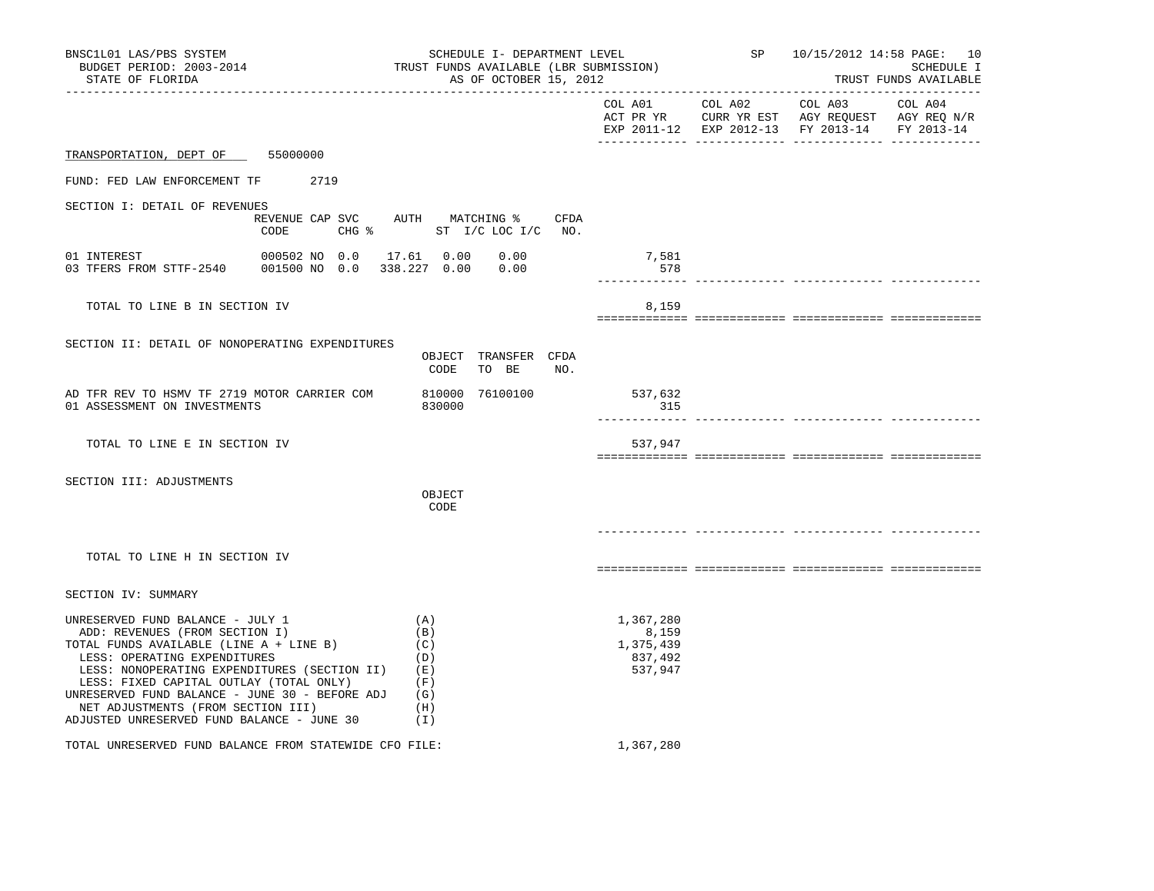| BNSC1L01 LAS/PBS SYSTEM<br>SCHEDULE I- DEPARTMENT LEVEL<br>BUDGET PERIOD: 2003-2014<br>TRUST FUNDS AVAILABLE (LBR SUBMISSION)<br>AS OF OCTOBER 15, 2012<br>STATE OF FLORIDA                                                                                                                                                                                                    |                                                                          |                                                             |                               |     |                                                       | SP 10/15/2012 14:58 PAGE: 10<br>SCHEDULE I<br>TRUST FUNDS AVAILABLE |                                                                                                |                       |
|--------------------------------------------------------------------------------------------------------------------------------------------------------------------------------------------------------------------------------------------------------------------------------------------------------------------------------------------------------------------------------|--------------------------------------------------------------------------|-------------------------------------------------------------|-------------------------------|-----|-------------------------------------------------------|---------------------------------------------------------------------|------------------------------------------------------------------------------------------------|-----------------------|
|                                                                                                                                                                                                                                                                                                                                                                                |                                                                          |                                                             |                               |     |                                                       | COL A01 COL A02                                                     | COL A03<br>ACT PR YR CURR YR EST AGY REQUEST AGY REQ N/R<br>EXP 2011-12 EXP 2012-13 FY 2013-14 | COL A04<br>FY 2013-14 |
| TRANSPORTATION, DEPT OF 55000000                                                                                                                                                                                                                                                                                                                                               |                                                                          |                                                             |                               |     |                                                       |                                                                     |                                                                                                |                       |
| FUND: FED LAW ENFORCEMENT TF 2719                                                                                                                                                                                                                                                                                                                                              |                                                                          |                                                             |                               |     |                                                       |                                                                     |                                                                                                |                       |
| SECTION I: DETAIL OF REVENUES                                                                                                                                                                                                                                                                                                                                                  | REVENUE CAP SVC AUTH MATCHING % CFDA<br>CODE<br>CHG % ST I/C LOC I/C NO. |                                                             |                               |     |                                                       |                                                                     |                                                                                                |                       |
| 01 INTEREST<br>03 TFERS FROM STTF-2540                                                                                                                                                                                                                                                                                                                                         | 000502 NO 0.0 17.61 0.00 0.00<br>001500 NO 0.0 338.227 0.00 0.00         |                                                             |                               |     | 7,581<br>578                                          |                                                                     |                                                                                                |                       |
| TOTAL TO LINE B IN SECTION IV                                                                                                                                                                                                                                                                                                                                                  |                                                                          |                                                             |                               |     | 8,159                                                 |                                                                     |                                                                                                |                       |
| SECTION II: DETAIL OF NONOPERATING EXPENDITURES                                                                                                                                                                                                                                                                                                                                |                                                                          | CODE                                                        | OBJECT TRANSFER CFDA<br>TO BE | NO. |                                                       |                                                                     |                                                                                                |                       |
| AD TFR REV TO HSMV TF 2719 MOTOR CARRIER COM<br>01 ASSESSMENT ON INVESTMENTS                                                                                                                                                                                                                                                                                                   |                                                                          | 830000                                                      | 810000 76100100               |     | 537,632<br>315                                        |                                                                     |                                                                                                |                       |
| TOTAL TO LINE E IN SECTION IV                                                                                                                                                                                                                                                                                                                                                  |                                                                          |                                                             |                               |     | 537,947                                               |                                                                     |                                                                                                |                       |
| SECTION III: ADJUSTMENTS                                                                                                                                                                                                                                                                                                                                                       |                                                                          | OBJECT<br>CODE                                              |                               |     |                                                       |                                                                     |                                                                                                |                       |
| TOTAL TO LINE H IN SECTION IV                                                                                                                                                                                                                                                                                                                                                  |                                                                          |                                                             |                               |     |                                                       |                                                                     |                                                                                                |                       |
| SECTION IV: SUMMARY                                                                                                                                                                                                                                                                                                                                                            |                                                                          |                                                             |                               |     |                                                       |                                                                     |                                                                                                |                       |
| UNRESERVED FUND BALANCE - JULY 1<br>ADD: REVENUES (FROM SECTION I)<br>TOTAL FUNDS AVAILABLE (LINE A + LINE B)<br>LESS: OPERATING EXPENDITURES<br>LESS: NONOPERATING EXPENDITURES (SECTION II)<br>LESS: FIXED CAPITAL OUTLAY (TOTAL ONLY)<br>UNRESERVED FUND BALANCE - JUNE 30 - BEFORE ADJ<br>NET ADJUSTMENTS (FROM SECTION III)<br>ADJUSTED UNRESERVED FUND BALANCE - JUNE 30 |                                                                          | (A)<br>(B)<br>(C)<br>(D)<br>(E)<br>(F)<br>(G)<br>(H)<br>(I) |                               |     | 1,367,280<br>8,159<br>1,375,439<br>837,492<br>537,947 |                                                                     |                                                                                                |                       |
| TOTAL UNRESERVED FUND BALANCE FROM STATEWIDE CFO FILE:                                                                                                                                                                                                                                                                                                                         |                                                                          |                                                             |                               |     | 1,367,280                                             |                                                                     |                                                                                                |                       |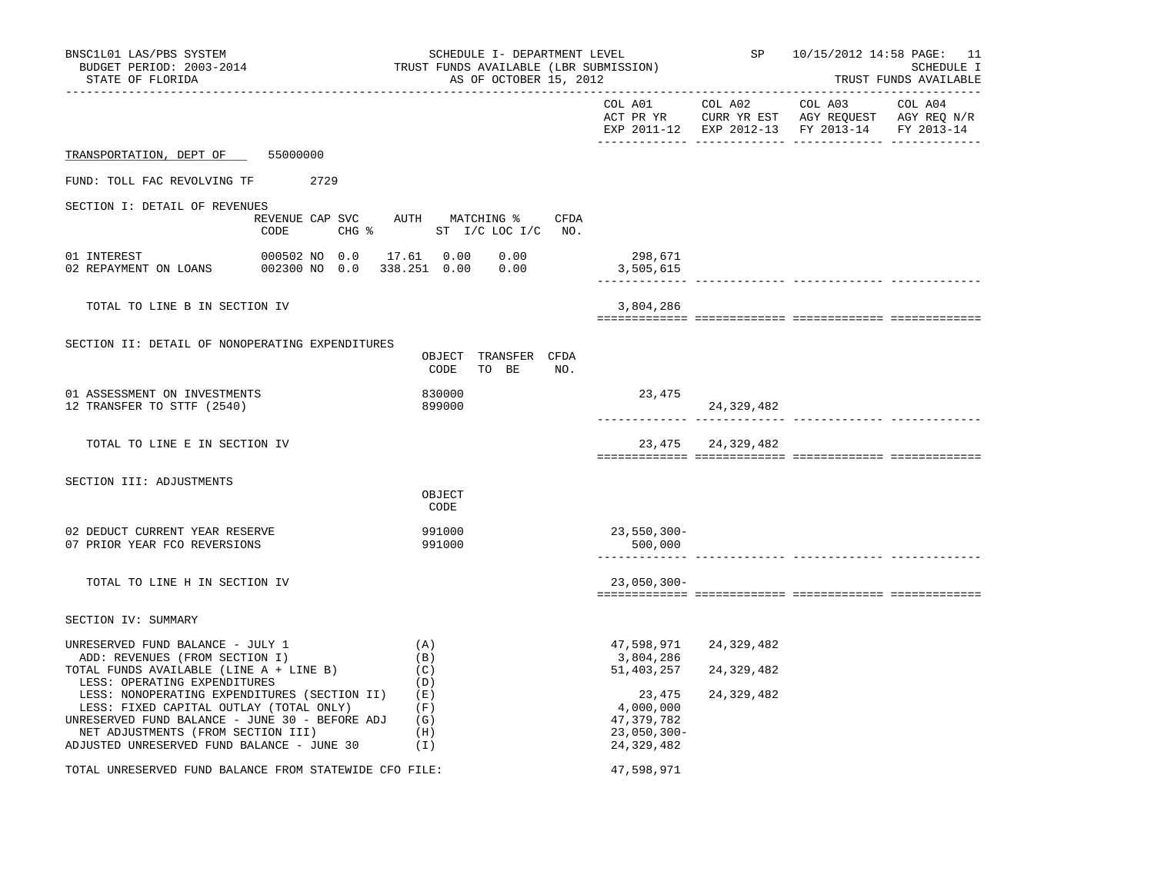| BNSC1L01 LAS/PBS SYSTEM<br>BUDGET PERIOD: 2003-2014<br>STATE OF FLORIDA                                                                                                                                                       | SCHEDULE I- DEPARTMENT LEVEL<br>TRUST FUNDS AVAILABLE (LBR SUBMISSION)<br>AS OF OCTOBER 15, 2012 |                                                                   |                          | SP 10/15/2012 14:58 PAGE: 11<br>SCHEDULE I<br>TRUST FUNDS AVAILABLE<br>_______________________ |            |
|-------------------------------------------------------------------------------------------------------------------------------------------------------------------------------------------------------------------------------|--------------------------------------------------------------------------------------------------|-------------------------------------------------------------------|--------------------------|------------------------------------------------------------------------------------------------|------------|
|                                                                                                                                                                                                                               |                                                                                                  |                                                                   |                          | EXP 2011-12 EXP 2012-13 FY 2013-14                                                             | FY 2013-14 |
| TRANSPORTATION, DEPT OF 55000000                                                                                                                                                                                              |                                                                                                  |                                                                   |                          |                                                                                                |            |
| FUND: TOLL FAC REVOLVING TF 2729                                                                                                                                                                                              |                                                                                                  |                                                                   |                          |                                                                                                |            |
| SECTION I: DETAIL OF REVENUES                                                                                                                                                                                                 |                                                                                                  |                                                                   |                          |                                                                                                |            |
| REVENUE CAP SVC<br>CODE                                                                                                                                                                                                       | AUTH MATCHING %<br>CFDA<br>CHG % ST I/C LOC I/C NO.                                              |                                                                   |                          |                                                                                                |            |
| 01 INTEREST<br>000502 NO 0.0<br>002300 NO 0.0 338.251 0.00 0.00<br>02 REPAYMENT ON LOANS                                                                                                                                      | 17.61  0.00  0.00                                                                                | 298,671<br>3,505,615                                              |                          | ____________ __________                                                                        |            |
| TOTAL TO LINE B IN SECTION IV                                                                                                                                                                                                 |                                                                                                  | 3,804,286                                                         |                          |                                                                                                |            |
|                                                                                                                                                                                                                               |                                                                                                  |                                                                   |                          |                                                                                                |            |
| SECTION II: DETAIL OF NONOPERATING EXPENDITURES                                                                                                                                                                               | OBJECT TRANSFER CFDA<br>CODE<br>TO BE NO.                                                        |                                                                   |                          |                                                                                                |            |
| 01 ASSESSMENT ON INVESTMENTS<br>12 TRANSFER TO STTF (2540)                                                                                                                                                                    | 830000<br>899000                                                                                 | 23,475                                                            | 24,329,482               |                                                                                                |            |
| TOTAL TO LINE E IN SECTION IV                                                                                                                                                                                                 |                                                                                                  |                                                                   | 23, 475 24, 329, 482     |                                                                                                |            |
| SECTION III: ADJUSTMENTS                                                                                                                                                                                                      | OBJECT<br>CODE                                                                                   |                                                                   |                          |                                                                                                |            |
| 02 DEDUCT CURRENT YEAR RESERVE<br>07 PRIOR YEAR FCO REVERSIONS                                                                                                                                                                | 991000<br>991000                                                                                 | $23,550,300 -$<br>500,000                                         |                          | ------------- ------------- -------                                                            |            |
| TOTAL TO LINE H IN SECTION IV                                                                                                                                                                                                 |                                                                                                  | $23,050,300 -$                                                    |                          |                                                                                                |            |
| SECTION IV: SUMMARY                                                                                                                                                                                                           |                                                                                                  |                                                                   |                          |                                                                                                |            |
| UNRESERVED FUND BALANCE - JULY 1<br>ADD: REVENUES (FROM SECTION I)<br>TOTAL FUNDS AVAILABLE (LINE A + LINE B)<br>LESS: OPERATING EXPENDITURES                                                                                 | (A)<br>(B)<br>(C)<br>(D)                                                                         | 47,598,971<br>3,804,286<br>51,403,257                             | 24,329,482<br>24,329,482 |                                                                                                |            |
| LESS: NONOPERATING EXPENDITURES (SECTION II)<br>LESS: FIXED CAPITAL OUTLAY (TOTAL ONLY)<br>UNRESERVED FUND BALANCE - JUNE 30 - BEFORE ADJ<br>NET ADJUSTMENTS (FROM SECTION III)<br>ADJUSTED UNRESERVED FUND BALANCE - JUNE 30 | (E)<br>(F)<br>(G)<br>(H)<br>(I)                                                                  | 23,475<br>4,000,000<br>47,379,782<br>$23,050,300 -$<br>24,329,482 | 24, 329, 482             |                                                                                                |            |
| TOTAL UNRESERVED FUND BALANCE FROM STATEWIDE CFO FILE:                                                                                                                                                                        |                                                                                                  | 47,598,971                                                        |                          |                                                                                                |            |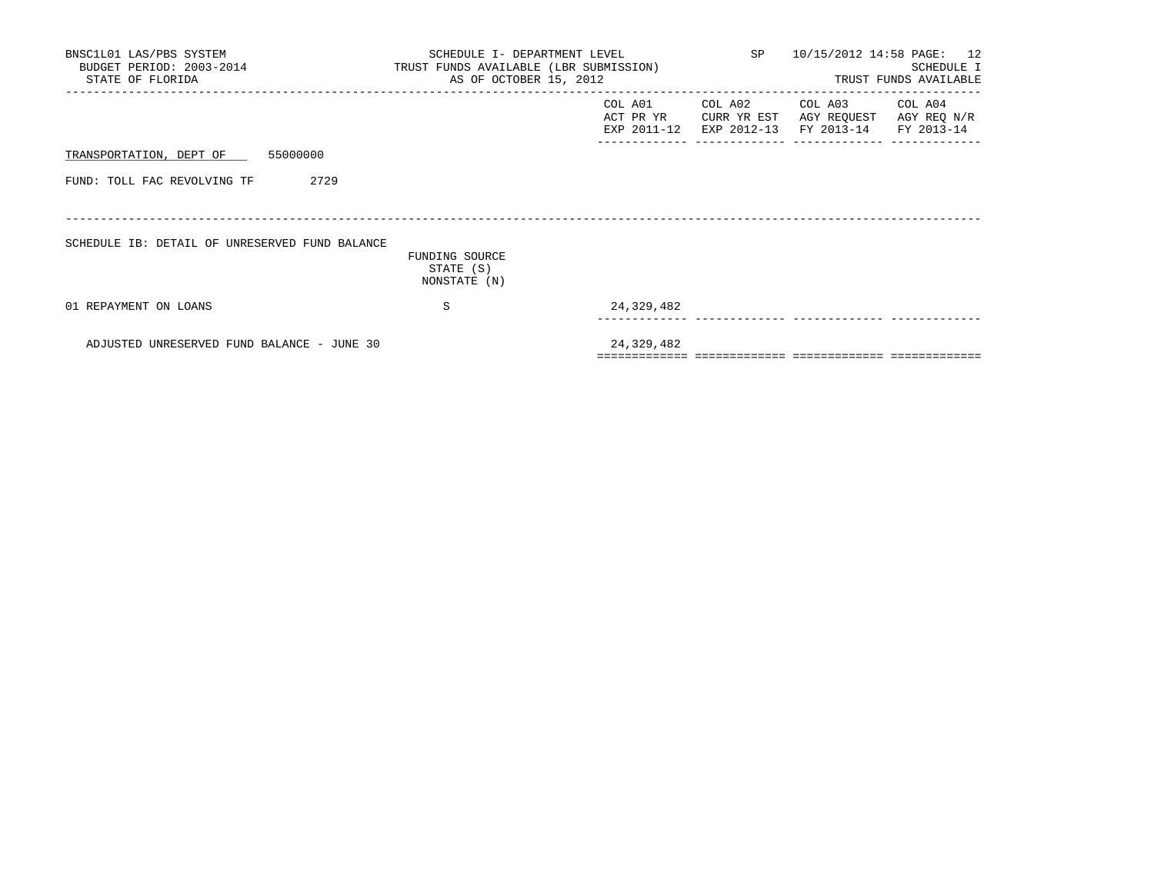| BNSC1L01 LAS/PBS SYSTEM<br>BUDGET PERIOD: 2003-2014 TRUST FUNDS AVAILABLE (LBR SUBMISSION)<br>STATE OF FLORIDA | SCHEDULE I- DEPARTMENT LEVEL<br>AS OF OCTOBER 15, 2012 |                                     | SP 10/15/2012 14:58 PAGE: 12          | SCHEDULE I<br>TRUST FUNDS AVAILABLE  |                                      |
|----------------------------------------------------------------------------------------------------------------|--------------------------------------------------------|-------------------------------------|---------------------------------------|--------------------------------------|--------------------------------------|
|                                                                                                                |                                                        | COL A01<br>ACT PR YR<br>EXP 2011-12 | COL A02<br>CURR YR EST<br>EXP 2012-13 | COL A03<br>AGY REQUEST<br>FY 2013-14 | COL A04<br>AGY REQ N/R<br>FY 2013-14 |
| TRANSPORTATION, DEPT OF 55000000                                                                               |                                                        |                                     |                                       |                                      |                                      |
| 2729<br>FUND: TOLL FAC REVOLVING TF                                                                            |                                                        |                                     |                                       |                                      |                                      |
| SCHEDULE IB: DETAIL OF UNRESERVED FUND BALANCE                                                                 | FUNDING SOURCE<br>STATE (S)<br>NONSTATE (N)            |                                     |                                       |                                      |                                      |
| 01 REPAYMENT ON LOANS                                                                                          | S                                                      | 24,329,482                          |                                       |                                      |                                      |
| ADJUSTED UNRESERVED FUND BALANCE - JUNE 30                                                                     |                                                        | 24,329,482                          |                                       |                                      |                                      |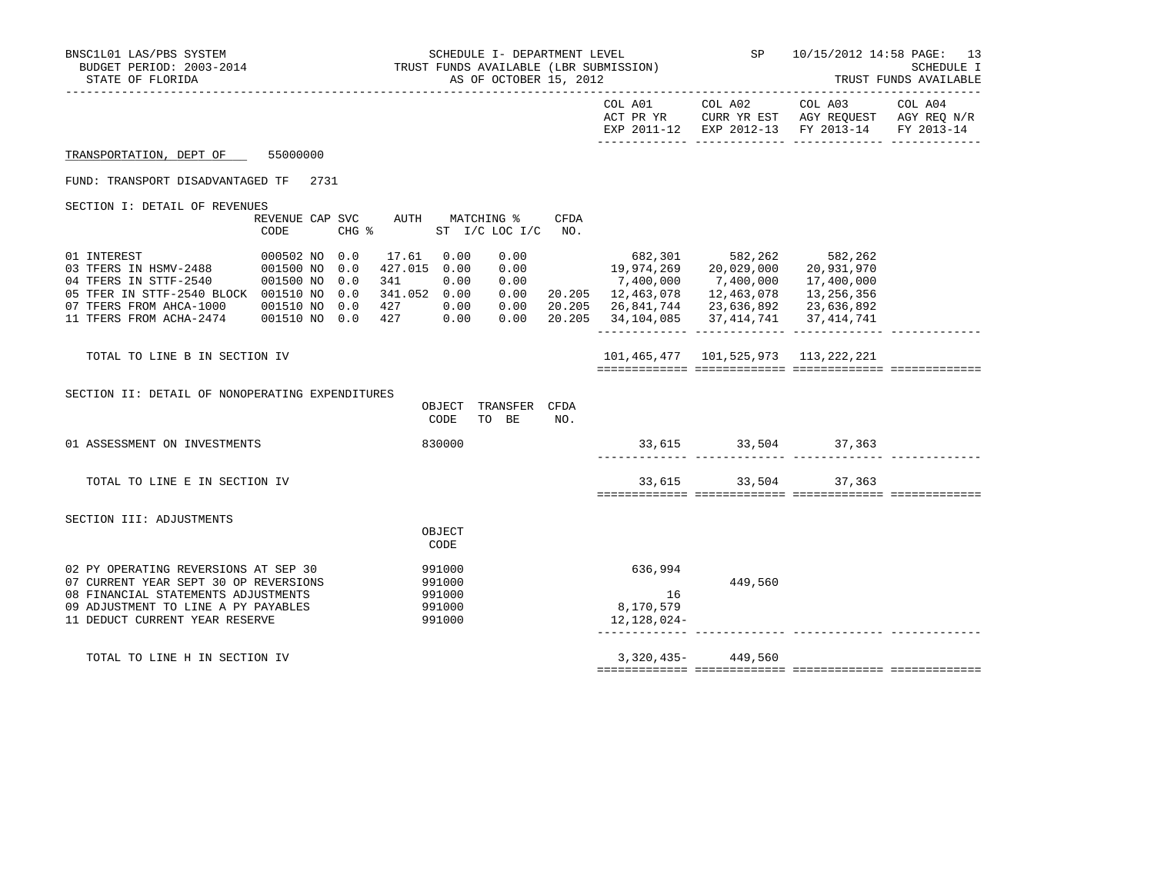| BNSC1L01 LAS/PBS SYSTEM<br>STATE OF FLORIDA                                                                                                                                                   |                                              | SCHEDULE I- DEPARTMENT LEVEL SOMETHED SP 10/15/2012 14:58 PAGE: 13<br>BUDGET PERIOD: 2003-2014 TRUST FUNDS AVAILLABLE (LBR SUBMISSION) SP 10/15/2012 14:58 PAGE: 13<br>CENTER OF TION OF THE SUBMISSION SALE AND TRUST SUBMISSION SE<br>AS OF OCTOBER 15, 2012 |                          |                            |                               |     |                                                                                                                                                                                                                                                                                                          | TRUST FUNDS AVAILABLE |                                                                                             |  |
|-----------------------------------------------------------------------------------------------------------------------------------------------------------------------------------------------|----------------------------------------------|----------------------------------------------------------------------------------------------------------------------------------------------------------------------------------------------------------------------------------------------------------------|--------------------------|----------------------------|-------------------------------|-----|----------------------------------------------------------------------------------------------------------------------------------------------------------------------------------------------------------------------------------------------------------------------------------------------------------|-----------------------|---------------------------------------------------------------------------------------------|--|
|                                                                                                                                                                                               |                                              |                                                                                                                                                                                                                                                                |                          |                            |                               |     |                                                                                                                                                                                                                                                                                                          |                       | ACT PR YR CURR YR EST AGY REQUEST AGY REQ N/R EXP 2011-12 EXP 2012-13 FY 2013-14 FY 2013-14 |  |
| TRANSPORTATION, DEPT OF 55000000                                                                                                                                                              |                                              |                                                                                                                                                                                                                                                                |                          |                            |                               |     |                                                                                                                                                                                                                                                                                                          |                       |                                                                                             |  |
| FUND: TRANSPORT DISADVANTAGED TF 2731                                                                                                                                                         |                                              |                                                                                                                                                                                                                                                                |                          |                            |                               |     |                                                                                                                                                                                                                                                                                                          |                       |                                                                                             |  |
| SECTION I: DETAIL OF REVENUES                                                                                                                                                                 | REVENUE CAP SVC AUTH MATCHING % CFDA<br>CODE |                                                                                                                                                                                                                                                                |                          |                            | CHG % ST I/C LOC I/C NO.      |     |                                                                                                                                                                                                                                                                                                          |                       |                                                                                             |  |
| 05 TFER IN STTF-2540 BLOCK 001510 NO 0.0<br>07 TFERS FROM AHCA-1000 001510 NO 0.0<br>11 TFERS FROM ACHA-2474   001510 NO 0.0   427   0.00                                                     |                                              |                                                                                                                                                                                                                                                                | 341.052 0.00<br>427 0.00 |                            | 0.00<br>0.00                  |     | $\begin{array}{cccc} 0.00 & 682,301 & 582,262 & 582,262 \\ 0.00 & 19,974,269 & 20,029,000 & 20,931,970 \\ 0.00 & 7,400,000 & 7,400,000 & 17,400,000 \end{array}$<br>$0.00$ 20.205 12,463,078 12,463,078 13,256,356<br>20.205 26,841,744 23,636,892 23,636,892<br>20.205 34,104,085 37,414,741 37,414,741 |                       | 17,400,000                                                                                  |  |
| TOTAL TO LINE B IN SECTION IV                                                                                                                                                                 |                                              |                                                                                                                                                                                                                                                                |                          |                            |                               |     | 101,465,477 101,525,973 113,222,221                                                                                                                                                                                                                                                                      |                       |                                                                                             |  |
| SECTION II: DETAIL OF NONOPERATING EXPENDITURES                                                                                                                                               |                                              |                                                                                                                                                                                                                                                                |                          | CODE                       | OBJECT TRANSFER CFDA<br>TO BE | NO. |                                                                                                                                                                                                                                                                                                          |                       |                                                                                             |  |
| 01 ASSESSMENT ON INVESTMENTS                                                                                                                                                                  |                                              |                                                                                                                                                                                                                                                                |                          | 830000                     |                               |     |                                                                                                                                                                                                                                                                                                          |                       | $33,615$ $33,504$ $37,363$                                                                  |  |
| TOTAL TO LINE E IN SECTION IV                                                                                                                                                                 |                                              |                                                                                                                                                                                                                                                                |                          |                            |                               |     |                                                                                                                                                                                                                                                                                                          |                       | 33,615 33,504 37,363                                                                        |  |
| SECTION III: ADJUSTMENTS                                                                                                                                                                      |                                              |                                                                                                                                                                                                                                                                |                          | OBJECT<br>CODE             |                               |     |                                                                                                                                                                                                                                                                                                          |                       |                                                                                             |  |
| 02 PY OPERATING REVERSIONS AT SEP 30<br>07 CURRENT YEAR SEPT 30 OP REVERSIONS<br>08 FINANCIAL STATEMENTS ADJUSTMENTS<br>09 ADJUSTMENT TO LINE A PY PAYABLES<br>11 DEDUCT CURRENT YEAR RESERVE |                                              |                                                                                                                                                                                                                                                                | 991000<br>991000         | 991000<br>991000<br>991000 |                               |     | 636,994<br>16<br>8,170,579<br>12,128,024-                                                                                                                                                                                                                                                                | 449,560               |                                                                                             |  |
| TOTAL TO LINE H IN SECTION IV                                                                                                                                                                 |                                              |                                                                                                                                                                                                                                                                |                          |                            |                               |     |                                                                                                                                                                                                                                                                                                          | 3,320,435-449,560     |                                                                                             |  |
|                                                                                                                                                                                               |                                              |                                                                                                                                                                                                                                                                |                          |                            |                               |     |                                                                                                                                                                                                                                                                                                          |                       |                                                                                             |  |